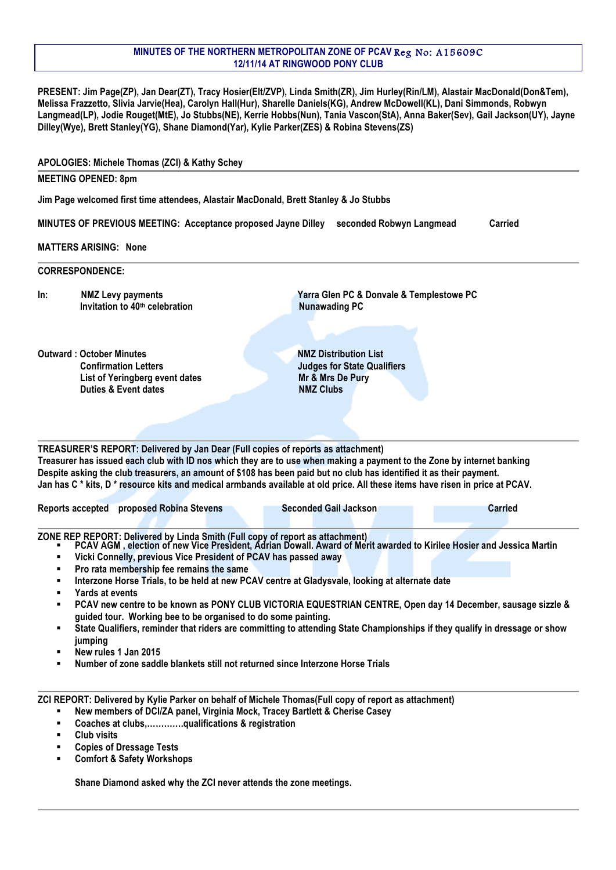## **MINUTES OF THE NORTHERN METROPOLITAN ZONE OF PCAV** Reg No: A15609C **12/11/14 AT RINGWOOD PONY CLUB**

**PRESENT: Jim Page(ZP), Jan Dear(ZT), Tracy Hosier(Elt/ZVP), Linda Smith(ZR), Jim Hurley(Rin/LM), Alastair MacDonald(Don&Tem), Melissa Frazzetto, Slivia Jarvie(Hea), Carolyn Hall(Hur), Sharelle Daniels(KG), Andrew McDowell(KL), Dani Simmonds, Robwyn Langmead(LP), Jodie Rouget(MtE), Jo Stubbs(NE), Kerrie Hobbs(Nun), Tania Vascon(StA), Anna Baker(Sev), Gail Jackson(UY), Jayne Dilley(Wye), Brett Stanley(YG), Shane Diamond(Yar), Kylie Parker(ZES) & Robina Stevens(ZS)**

|                  | APOLOGIES: Michele Thomas (ZCI) & Kathy Schey                                                                                                                                                                                                                                                                        |                                                                                                                                                                                                                                                                                                                                                                                                                                                                                                                                                       |                |
|------------------|----------------------------------------------------------------------------------------------------------------------------------------------------------------------------------------------------------------------------------------------------------------------------------------------------------------------|-------------------------------------------------------------------------------------------------------------------------------------------------------------------------------------------------------------------------------------------------------------------------------------------------------------------------------------------------------------------------------------------------------------------------------------------------------------------------------------------------------------------------------------------------------|----------------|
|                  | <b>MEETING OPENED: 8pm</b>                                                                                                                                                                                                                                                                                           |                                                                                                                                                                                                                                                                                                                                                                                                                                                                                                                                                       |                |
|                  | Jim Page welcomed first time attendees, Alastair MacDonald, Brett Stanley & Jo Stubbs                                                                                                                                                                                                                                |                                                                                                                                                                                                                                                                                                                                                                                                                                                                                                                                                       |                |
|                  | MINUTES OF PREVIOUS MEETING: Acceptance proposed Jayne Dilley                                                                                                                                                                                                                                                        | seconded Robwyn Langmead                                                                                                                                                                                                                                                                                                                                                                                                                                                                                                                              | <b>Carried</b> |
|                  |                                                                                                                                                                                                                                                                                                                      |                                                                                                                                                                                                                                                                                                                                                                                                                                                                                                                                                       |                |
|                  | <b>MATTERS ARISING: None</b>                                                                                                                                                                                                                                                                                         |                                                                                                                                                                                                                                                                                                                                                                                                                                                                                                                                                       |                |
|                  | <b>CORRESPONDENCE:</b>                                                                                                                                                                                                                                                                                               |                                                                                                                                                                                                                                                                                                                                                                                                                                                                                                                                                       |                |
| In:              | <b>NMZ Levy payments</b><br>Invitation to 40 <sup>th</sup> celebration                                                                                                                                                                                                                                               | Yarra Glen PC & Donvale & Templestowe PC<br><b>Nunawading PC</b>                                                                                                                                                                                                                                                                                                                                                                                                                                                                                      |                |
|                  | <b>Outward: October Minutes</b><br><b>Confirmation Letters</b><br>List of Yeringberg event dates<br><b>Duties &amp; Event dates</b>                                                                                                                                                                                  | <b>NMZ Distribution List</b><br><b>Judges for State Qualifiers</b><br>Mr & Mrs De Pury<br><b>NMZ Clubs</b>                                                                                                                                                                                                                                                                                                                                                                                                                                            |                |
|                  | Reports accepted proposed Robina Stevens                                                                                                                                                                                                                                                                             | Treasurer has issued each club with ID nos which they are to use when making a payment to the Zone by internet banking<br>Despite asking the club treasurers, an amount of \$108 has been paid but no club has identified it as their payment.<br>Jan has C * kits, D * resource kits and medical armbands available at old price. All these items have risen in price at PCAV.<br><b>Seconded Gail Jackson</b>                                                                                                                                       | <b>Carried</b> |
| ٠<br>٠<br>٠<br>٠ | Vicki Connelly, previous Vice President of PCAV has passed away<br>Pro rata membership fee remains the same<br>Yards at events<br>guided tour. Working bee to be organised to do some painting.<br>jumping<br>New rules 1 Jan 2015<br>Number of zone saddle blankets still not returned since Interzone Horse Trials | ZONE REP REPORT: Delivered by Linda Smith (Full copy of report as attachment)<br>PCAV AGM , election of new Vice President, Adrian Dowall. Award of Merit awarded to Kirilee Hosier and Jessica Martin<br>Interzone Horse Trials, to be held at new PCAV centre at Gladysvale, looking at alternate date<br>PCAV new centre to be known as PONY CLUB VICTORIA EQUESTRIAN CENTRE, Open day 14 December, sausage sizzle &<br>State Qualifiers, reminder that riders are committing to attending State Championships if they qualify in dressage or show |                |
| ٠<br>٠<br>٠<br>٠ | New members of DCI/ZA panel, Virginia Mock, Tracey Bartlett & Cherise Casey<br>Coaches at clubs,qualifications & registration<br><b>Club visits</b><br><b>Copies of Dressage Tests</b><br><b>Comfort &amp; Safety Workshops</b>                                                                                      | ZCI REPORT: Delivered by Kylie Parker on behalf of Michele Thomas(Full copy of report as attachment)                                                                                                                                                                                                                                                                                                                                                                                                                                                  |                |

**Shane Diamond asked why the ZCI never attends the zone meetings.**